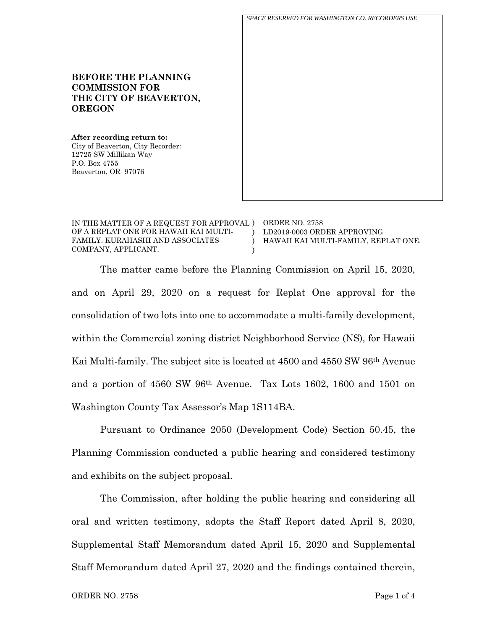**BEFORE THE PLANNING COMMISSION FOR THE CITY OF BEAVERTON, OREGON After recording return to:** City of Beaverton, City Recorder: 12725 SW Millikan Way P.O. Box 4755 Beaverton, OR 97076 *SPACE RESERVED FOR WASHINGTON CO. RECORDERS USE*

| IN THE MATTER OF A REQUEST FOR APPROVAL ) ORDER NO. 2758 |                                      |
|----------------------------------------------------------|--------------------------------------|
| OF A REPLAT ONE FOR HAWAII KAI MULTI-                    | LD2019-0003 ORDER APPROVING          |
| FAMILY. KURAHASHI AND ASSOCIATES                         | HAWAII KAI MULTI-FAMILY. REPLAT ONE. |
| COMPANY, APPLICANT.                                      |                                      |

The matter came before the Planning Commission on April 15, 2020, and on April 29, 2020 on a request for Replat One approval for the consolidation of two lots into one to accommodate a multi-family development, within the Commercial zoning district Neighborhood Service (NS), for Hawaii Kai Multi-family. The subject site is located at 4500 and 4550 SW 96th Avenue and a portion of 4560 SW 96th Avenue. Tax Lots 1602, 1600 and 1501 on Washington County Tax Assessor's Map 1S114BA.

Pursuant to Ordinance 2050 (Development Code) Section 50.45, the Planning Commission conducted a public hearing and considered testimony and exhibits on the subject proposal.

The Commission, after holding the public hearing and considering all oral and written testimony, adopts the Staff Report dated April 8, 2020, Supplemental Staff Memorandum dated April 15, 2020 and Supplemental Staff Memorandum dated April 27, 2020 and the findings contained therein,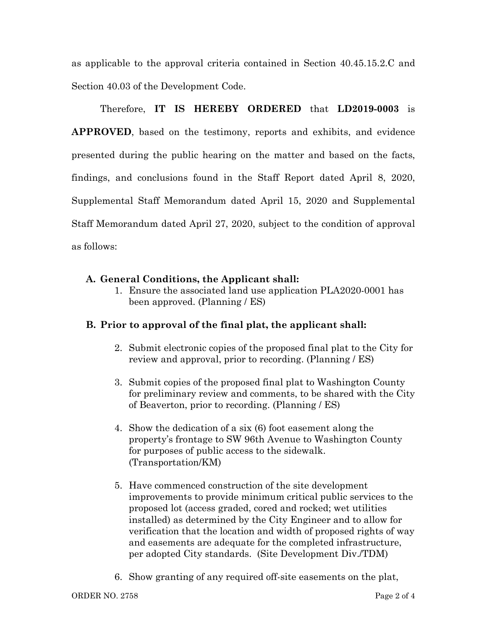as applicable to the approval criteria contained in Section 40.45.15.2.C and Section 40.03 of the Development Code.

Therefore, **IT IS HEREBY ORDERED** that **LD2019-0003** is **APPROVED**, based on the testimony, reports and exhibits, and evidence presented during the public hearing on the matter and based on the facts, findings, and conclusions found in the Staff Report dated April 8, 2020, Supplemental Staff Memorandum dated April 15, 2020 and Supplemental Staff Memorandum dated April 27, 2020, subject to the condition of approval as follows:

## **A. General Conditions, the Applicant shall:**

1. Ensure the associated land use application PLA2020-0001 has been approved. (Planning / ES)

## **B. Prior to approval of the final plat, the applicant shall:**

- 2. Submit electronic copies of the proposed final plat to the City for review and approval, prior to recording. (Planning / ES)
- 3. Submit copies of the proposed final plat to Washington County for preliminary review and comments, to be shared with the City of Beaverton, prior to recording. (Planning / ES)
- 4. Show the dedication of a six (6) foot easement along the property's frontage to SW 96th Avenue to Washington County for purposes of public access to the sidewalk. (Transportation/KM)
- 5. Have commenced construction of the site development improvements to provide minimum critical public services to the proposed lot (access graded, cored and rocked; wet utilities installed) as determined by the City Engineer and to allow for verification that the location and width of proposed rights of way and easements are adequate for the completed infrastructure, per adopted City standards. (Site Development Div./TDM)
- 6. Show granting of any required off-site easements on the plat,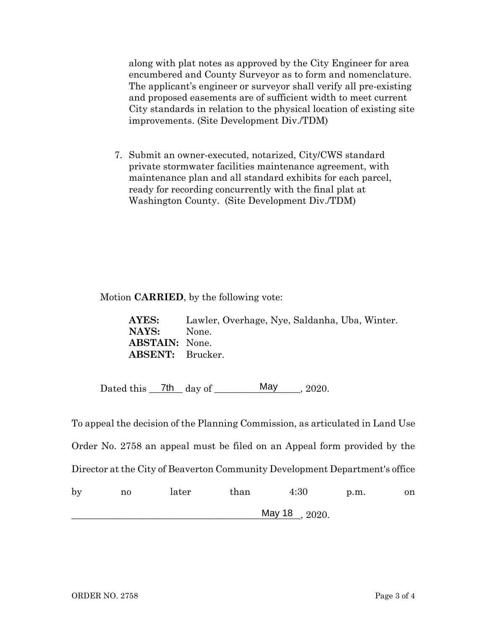along with plat notes as approved by the City Engineer for area encumbered and County Surveyor as to form and nomenclature. The applicant's engineer or surveyor shall verify all pre-existing and proposed easements are of sufficient width to meet current City standards in relation to the physical location of existing site improvements. (Site Development Div./TDM)

7. Submit an owner-executed, notarized, City/CWS standard private stormwater facilities maintenance agreement, with maintenance plan and all standard exhibits for each parcel, ready for recording concurrently with the final plat at Washington County. (Site Development Div./TDM)

#### Motion **CARRIED**, by the following vote:

**AYES:** Lawler, Overhage, Nye, Saldanha, Uba, Winter. **NAYS:** None. **ABSTAIN:** None. **ABSENT:** Brucker.

Dated this  $\frac{7th}{\text{day of}}$  day of  $\frac{\text{May}}{\text{day}}$ , 2020. May . 2020.

To appeal the decision of the Planning Commission, as articulated in Land Use Order No. 2758 an appeal must be filed on an Appeal form provided by the Director at the City of Beaverton Community Development Department's office by no later than 4:30 p.m. on \_\_\_\_\_\_\_\_\_\_\_\_\_\_\_\_\_\_\_\_\_\_\_\_\_\_\_\_\_\_\_\_\_\_\_\_\_\_\_\_\_\_\_\_\_\_\_\_, 2020. May 18